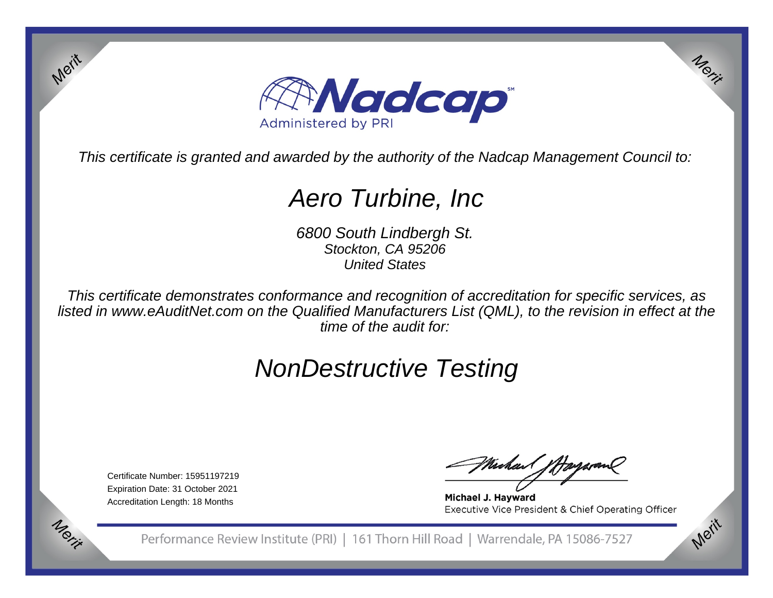

This certificate is granted and awarded by the authority of the Nadcap Management Council to:

## Aero Turbine, Inc

6800 South Lindbergh St.Stockton, CA 95206United States

This certificate demonstrates conformance and recognition of accreditation for specific services, as listed in www.eAuditNet.com on the Qualified Manufacturers List (QML), to the revision in effect at thetime of the audit for:

## NonDestructive Testing

Certificate Number: 15951197219 Expiration Date: 31 October 2021Accreditation Length: 18 Months

Merit

Michael fffa

Michael J. Hayward Executive Vice President & Chief Operating Officer

Merit

Merit

Performance Review Institute (PRI) | 161 Thorn Hill Road | Warrendale, PA 15086-7527